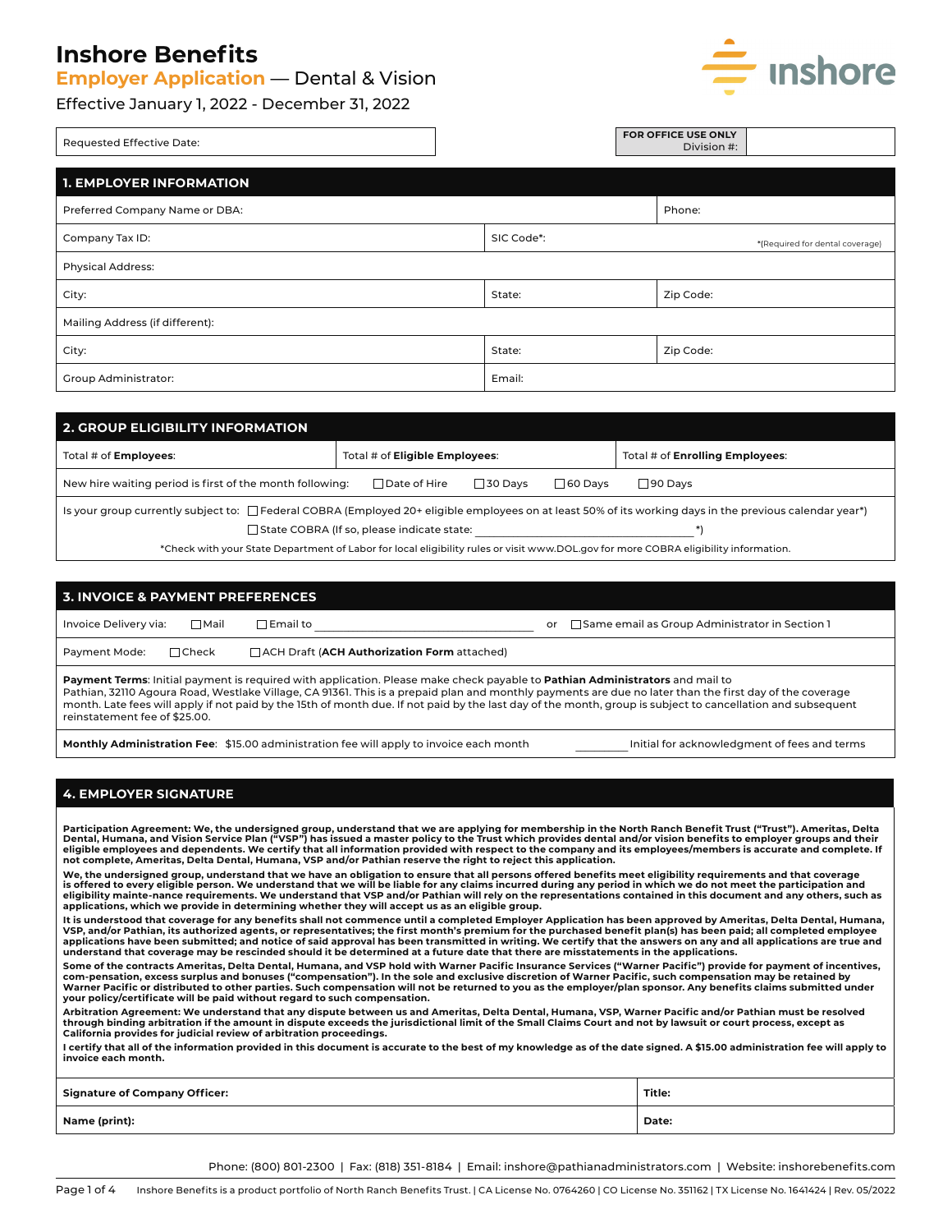**Employer Application** — Dental & Vision



Effective January 1, 2022 - December 31, 2022

| Requested Effective Date:       |            | FOR OFFICE USE ONLY<br>Division #: |
|---------------------------------|------------|------------------------------------|
| <b>1. EMPLOYER INFORMATION</b>  |            |                                    |
| Preferred Company Name or DBA:  |            | Phone:                             |
| Company Tax ID:                 | SIC Code*: | *(Required for dental coverage)    |
| <b>Physical Address:</b>        |            |                                    |
| City:                           | State:     | Zip Code:                          |
| Mailing Address (if different): |            |                                    |
| City:                           | State:     | Zip Code:                          |
| <b>Group Administrator:</b>     | Email:     |                                    |

| 2. GROUP ELIGIBILITY INFORMATION                                                                                                                        |                                            |                                                                                                                                     |  |  |  |
|---------------------------------------------------------------------------------------------------------------------------------------------------------|--------------------------------------------|-------------------------------------------------------------------------------------------------------------------------------------|--|--|--|
| Total # of <b>Employees:</b>                                                                                                                            | Total # of <b>Eligible Employees:</b>      | Total # of <b>Enrolling Employees:</b>                                                                                              |  |  |  |
| New hire waiting period is first of the month following:                                                                                                | $\sqcap$ Date of Hire<br>$\Box$ 30 Davs    | $\sqcap$ 60 Davs<br>□90 Davs                                                                                                        |  |  |  |
| Is your group currently subject to: □Federal COBRA (Employed 20+ eligible employees on at least 50% of its working days in the previous calendar year*) |                                            |                                                                                                                                     |  |  |  |
|                                                                                                                                                         | State COBRA (If so, please indicate state: |                                                                                                                                     |  |  |  |
|                                                                                                                                                         |                                            | *Check with your State Department of Labor for local eligibility rules or visit www.DOL.gov for more COBRA eligibility information. |  |  |  |

| <b>3. INVOICE &amp; PAYMENT PREFERENCES</b>                                                                                                                                                                                                                                                                                                                                                                                                                                             |                                                                                         |                                                        |  |  |
|-----------------------------------------------------------------------------------------------------------------------------------------------------------------------------------------------------------------------------------------------------------------------------------------------------------------------------------------------------------------------------------------------------------------------------------------------------------------------------------------|-----------------------------------------------------------------------------------------|--------------------------------------------------------|--|--|
| Invoice Delivery via:<br>∏Mail                                                                                                                                                                                                                                                                                                                                                                                                                                                          | $\sqcap$ Email to                                                                       | □ Same email as Group Administrator in Section 1<br>or |  |  |
| $\Box$ Check<br>Payment Mode:                                                                                                                                                                                                                                                                                                                                                                                                                                                           | $\Box$ ACH Draft (ACH Authorization Form attached)                                      |                                                        |  |  |
| Payment Terms: Initial payment is required with application. Please make check payable to Pathian Administrators and mail to<br>Pathian, 32110 Agoura Road, Westlake Village, CA 91361. This is a prepaid plan and monthly payments are due no later than the first day of the coverage<br>month. Late fees will apply if not paid by the 15th of month due. If not paid by the last day of the month, group is subject to cancellation and subsequent<br>reinstatement fee of \$25.00. |                                                                                         |                                                        |  |  |
|                                                                                                                                                                                                                                                                                                                                                                                                                                                                                         | Monthly Administration Fee: \$15.00 administration fee will apply to invoice each month | Initial for acknowledgment of fees and terms           |  |  |

## **4. EMPLOYER SIGNATURE**

Participation Agreement: We, the undersigned group, understand that we are applying for membership in the North Ranch Benefit Trust ("Trust"). Ameritas, Delta<br>Dental, Humana, and Vision Service Plan ("VSP") has issued a ma **not complete, Ameritas, Delta Dental, Humana, VSP and/or Pathian reserve the right to reject this application.**

**We, the undersigned group, understand that we have an obligation to ensure that all persons offered benefits meet eligibility requirements and that coverage**  is offered to every eligible person. We understand that we will be liable for any claims incurred during any period in which we do not meet the participation and<br>eligibility mainte-nance requirements. We understand that VS **applications, which we provide in determining whether they will accept us as an eligible group.**

**It is understood that coverage for any benefits shall not commence until a completed Employer Application has been approved by Ameritas, Delta Dental, Humana,**  VSP, and/or Pathian, its authorized agents, or representatives; the first month's premium for the purchased benefit plan(s) has been paid; all completed employee<br>applications have been submitted; and notice of said approva

**Some of the contracts Ameritas, Delta Dental, Humana, and VSP hold with Warner Pacific Insurance Services ("Warner Pacific") provide for payment of incentives,**  com-pensation, excess surplus and bonuses ("compensation"). In the sole and exclusive discretion of Warner Pacific, such compensation may be retained by<br>Warner Pacific or distributed to other parties. Such compensation wil **your policy/certificate will be paid without regard to such compensation.**

Arbitration Agreement: We understand that any dispute between us and Ameritas, Delta Dental, Humana, VSP, Warner Pacific and/or Pathian must be resolved<br>through binding arbitration if the amount in dispute exceeds the juri **California provides for judicial review of arbitration proceedings.**

**I certify that all of the information provided in this document is accurate to the best of my knowledge as of the date signed. A \$15.00 administration fee will apply to invoice each month.**

| <b>Signature of Company Officer:</b> | Title: |
|--------------------------------------|--------|
| Name (print):                        | Date:  |

Phone: (800) 801-2300 | Fax: (818) 351-8184 | Email: inshore@pathianadministrators.com | Website: inshorebenefits.com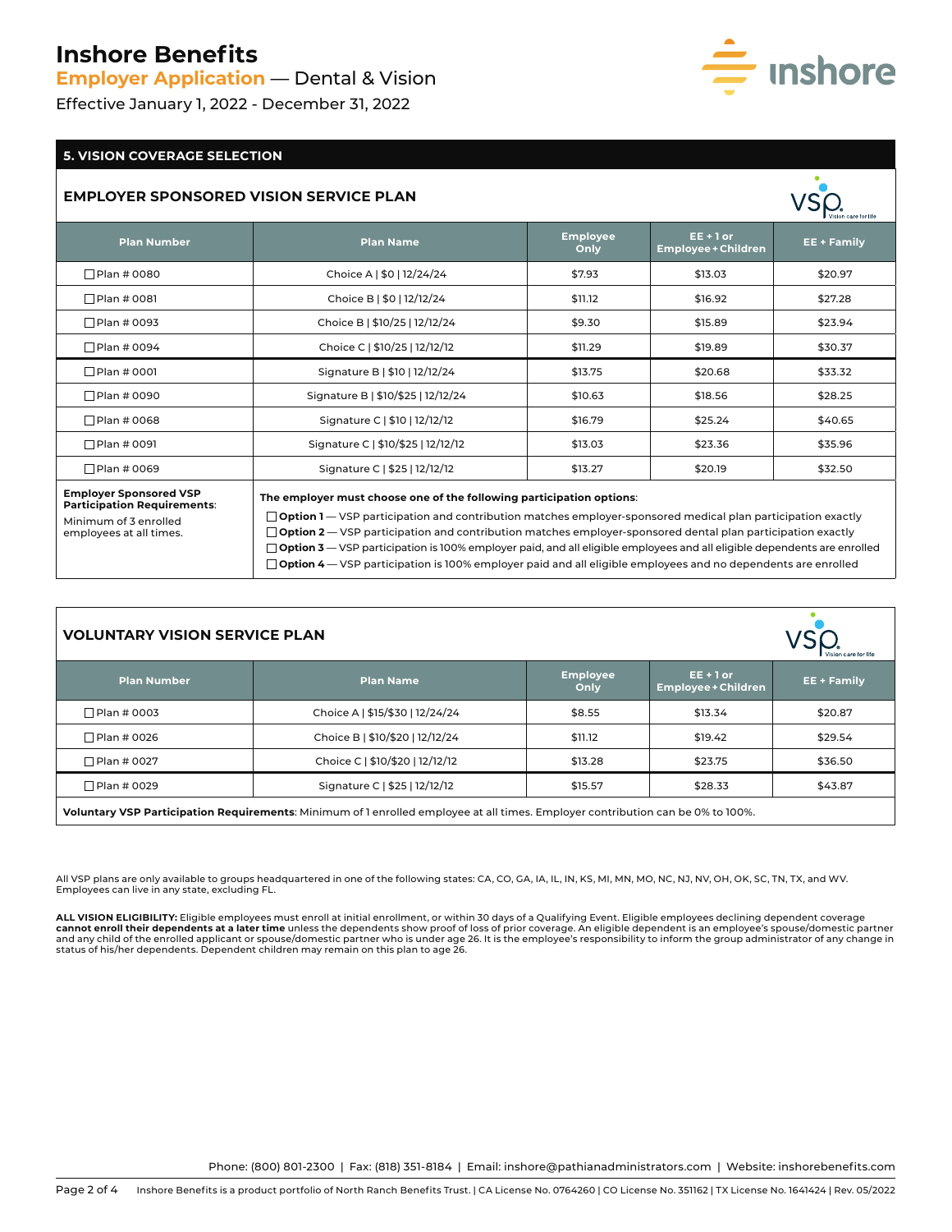**Employer Application** — Dental & Vision

Effective January 1, 2022 - December 31, 2022

# $\equiv$  inshore

## **5. VISION COVERAGE SELECTION**

#### **EMPLOYER SPONSORED VISION SERVICE PLAN**

|                                                              |                                                                      |                         |                                           | Vision care for life |
|--------------------------------------------------------------|----------------------------------------------------------------------|-------------------------|-------------------------------------------|----------------------|
| <b>Plan Number</b>                                           | <b>Plan Name</b>                                                     | <b>Employee</b><br>Only | $EE + 1$ or<br><b>Employee + Children</b> | <b>EE + Family</b>   |
| □Plan # 0080                                                 | Choice A   \$0   12/24/24                                            | \$7.93                  | \$13.03                                   | \$20.97              |
| □Plan # 0081                                                 | Choice B   \$0   12/12/24                                            | \$11.12                 | \$16.92                                   | \$27.28              |
| □Plan # 0093                                                 | Choice B   \$10/25   12/12/24                                        | \$9.30<br>\$15.89       |                                           | \$23.94              |
| □Plan # 0094                                                 | Choice C   \$10/25   12/12/12                                        | \$11.29                 | \$19.89                                   | \$30.37              |
| □Plan # 0001                                                 | Signature B   \$10   12/12/24                                        | \$13.75                 | \$20.68                                   | \$33.32              |
| □Plan # 0090                                                 | Signature B   \$10/\$25   12/12/24                                   | \$10.63                 | \$18.56                                   | \$28.25              |
| □Plan # 0068                                                 | Signature C   \$10   12/12/12                                        | \$16.79                 | \$25.24                                   | \$40.65              |
| □ Plan # 0091                                                | Signature C   \$10/\$25   12/12/12                                   | \$13.03                 | \$23.36                                   | \$35.96              |
| □Plan # 0069                                                 | Signature C   \$25   12/12/12                                        | \$13.27                 | \$20.19                                   | \$32.50              |
| <b>Employer Sponsored VSP</b><br>Participation Requirements: | The employer must choose one of the following participation options: |                         |                                           |                      |

Minimum of 3 enrolled employees at all times. **Option 1** — VSP participation and contribution matches employer-sponsored medical plan participation exactly **Option 2** — VSP participation and contribution matches employer-sponsored dental plan participation exactly **Option 3** — VSP participation is 100% employer paid, and all eligible employees and all eligible dependents are enrolled **Option 4** — VSP participation is 100% employer paid and all eligible employees and no dependents are enrolled

| <b>VOLUNTARY VISION SERVICE PLAN</b>                                                                                            |                                 |                         |                                           | Vision care for life |  |
|---------------------------------------------------------------------------------------------------------------------------------|---------------------------------|-------------------------|-------------------------------------------|----------------------|--|
| <b>Plan Number</b>                                                                                                              | <b>Plan Name</b>                | <b>Employee</b><br>Only | $EE + 1$ or<br><b>Employee + Children</b> | <b>EE + Family</b>   |  |
| $\Box$ Plan # 0003                                                                                                              | Choice A   \$15/\$30   12/24/24 | \$8.55                  | \$13.34                                   | \$20.87              |  |
| □ Plan # 0026                                                                                                                   | Choice B   \$10/\$20   12/12/24 | \$11.12                 | \$19.42                                   | \$29.54              |  |
| □Plan # 0027                                                                                                                    | Choice C   \$10/\$20   12/12/12 | \$13.28                 | \$23.75                                   | \$36.50              |  |
| □ Plan # 0029                                                                                                                   | Signature C   \$25   12/12/12   | \$15.57                 | \$28.33                                   | \$43.87              |  |
| Voluntary VSP Participation Requirements: Minimum of 1 enrolled employee at all times. Employer contribution can be 0% to 100%. |                                 |                         |                                           |                      |  |

All VSP plans are only available to groups headquartered in one of the following states: CA, CO, GA, IA, IL, IN, KS, MI, MN, MO, NC, NJ, NV, OH, OK, SC, TN, TX, and WV. Employees can live in any state, excluding FL.

**ALL VISION ELIGIBILITY:** Eligible employees must enroll at initial enrollment, or within 30 days of a Qualifying Event. Eligible employees declining dependent coverage<br>**cannot enroll their dependents at a later time** unle and any child of the enrolled applicant or spouse/domestic partner who is under age 26. It is the employee's responsibility to inform the group administrator of any change in<br>status of his/her dependents. Dependent childre

Phone: (800) 801-2300 | Fax: (818) 351-8184 | Email: inshore@pathianadministrators.com | Website: inshorebenefits.com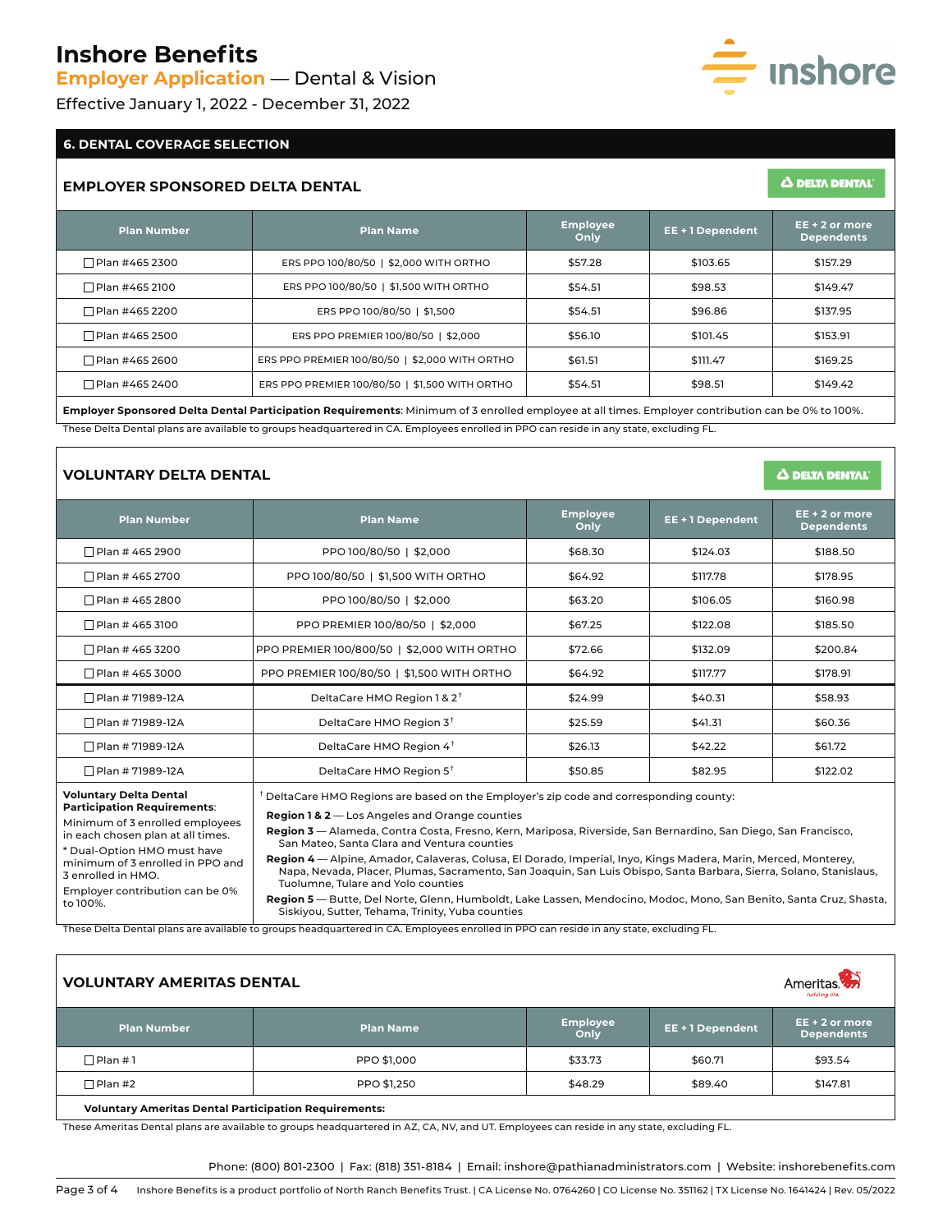**Employer Application** — Dental & Vision

Effective January 1, 2022 - December 31, 2022

#### **6. DENTAL COVERAGE SELECTION**

#### **EMPLOYER SPONSORED DELTA DENTAL**

| <b>Plan Number</b> | <b>Plan Name</b>                               | <b>Employee</b><br>Only | $EE + 2$ or more<br>EE + 1 Dependent<br><b>Dependents</b> |          |
|--------------------|------------------------------------------------|-------------------------|-----------------------------------------------------------|----------|
| □ Plan #465 2300   | ERS PPO 100/80/50   \$2,000 WITH ORTHO         | \$57.28                 | \$103.65                                                  | \$157.29 |
| □ Plan #465 2100   | ERS PPO 100/80/50   \$1,500 WITH ORTHO         | \$54.51                 | \$98.53                                                   | \$149.47 |
| Plan #465 2200     | ERS PPO 100/80/50   \$1,500                    | \$54.51                 | \$96.86                                                   | \$137.95 |
| □ Plan #465 2500   | ERS PPO PREMIER 100/80/50   \$2,000            | \$56.10                 | \$101.45                                                  | \$153.91 |
| □ Plan #465 2600   | ERS PPO PREMIER 100/80/50   \$2,000 WITH ORTHO | \$61.51                 | \$111.47                                                  | \$169.25 |
| □ Plan #465 2400   | ERS PPO PREMIER 100/80/50   \$1,500 WITH ORTHO | \$54.51                 | \$98.51                                                   | \$149.42 |

**Employer Sponsored Delta Dental Participation Requirements**: Minimum of 3 enrolled employee at all times. Employer contribution can be 0% to 100%. These Delta Dental plans are available to groups headquartered in CA. Employees enrolled in PPO can reside in any state, excluding FL.

## **VOLUNTARY DELTA DENTAL**

| <b>Plan Number</b>                                                                                     | <b>Plan Name</b>                                                                                                                                                                                                                                                            | <b>Employee</b><br>Only        | EE + 1 Dependent | $EE + 2$ or more<br><b>Dependents</b> |  |  |  |
|--------------------------------------------------------------------------------------------------------|-----------------------------------------------------------------------------------------------------------------------------------------------------------------------------------------------------------------------------------------------------------------------------|--------------------------------|------------------|---------------------------------------|--|--|--|
| $\Box$ Plan # 465 2900                                                                                 | PPO 100/80/50   \$2,000                                                                                                                                                                                                                                                     | \$68.30                        | \$124.03         | \$188.50                              |  |  |  |
| □ Plan # 465 2700                                                                                      | PPO 100/80/50   \$1,500 WITH ORTHO                                                                                                                                                                                                                                          | \$64.92                        | \$117.78         | \$178.95                              |  |  |  |
| □ Plan # 465 2800                                                                                      | PPO 100/80/50   \$2,000                                                                                                                                                                                                                                                     | \$63.20                        | \$106.05         | \$160.98                              |  |  |  |
| $\Box$ Plan # 465 3100                                                                                 | PPO PREMIER 100/80/50   \$2,000                                                                                                                                                                                                                                             | \$67.25                        | \$122.08         | \$185.50                              |  |  |  |
| $\Box$ Plan # 465 3200                                                                                 | PPO PREMIER 100/800/50   \$2,000 WITH ORTHO                                                                                                                                                                                                                                 | \$72.66                        | \$132.09         | \$200.84                              |  |  |  |
| $\Box$ Plan # 465 3000                                                                                 | PPO PREMIER 100/80/50   \$1,500 WITH ORTHO                                                                                                                                                                                                                                  | \$64.92                        | \$117.77         | \$178.91                              |  |  |  |
| □ Plan # 71989-12A                                                                                     | DeltaCare HMO Region 1 & 2 <sup>+</sup>                                                                                                                                                                                                                                     | \$24.99                        | \$40.31          | \$58.93                               |  |  |  |
| □ Plan # 71989-12A                                                                                     | DeltaCare HMO Region 3 <sup>t</sup>                                                                                                                                                                                                                                         | \$25.59                        | \$41.31          | \$60.36                               |  |  |  |
| □ Plan # 71989-12A                                                                                     | DeltaCare HMO Region 4 <sup>+</sup>                                                                                                                                                                                                                                         | \$26.13                        | \$42.22          | \$61.72                               |  |  |  |
| $\Box$ Plan # 71989-12A                                                                                | DeltaCare HMO Region 5 <sup>†</sup>                                                                                                                                                                                                                                         | \$50.85<br>\$82.95<br>\$122.02 |                  |                                       |  |  |  |
| <b>Voluntary Delta Dental</b><br><b>Participation Requirements:</b><br>Minimum of 3 enrolled employees | <sup>†</sup> DeltaCare HMO Regions are based on the Employer's zip code and corresponding county:<br><b>Region 1 &amp; 2</b> - Los Angeles and Orange counties                                                                                                              |                                |                  |                                       |  |  |  |
| in each chosen plan at all times.<br>* Dual-Option HMO must have                                       | Region 3 — Alameda, Contra Costa, Fresno, Kern, Mariposa, Riverside, San Bernardino, San Diego, San Francisco,<br>San Mateo, Santa Clara and Ventura counties                                                                                                               |                                |                  |                                       |  |  |  |
| minimum of 3 enrolled in PPO and<br>3 enrolled in HMO.                                                 | Region 4 - Alpine, Amador, Calaveras, Colusa, El Dorado, Imperial, Inyo, Kings Madera, Marin, Merced, Monterey,<br>Napa, Nevada, Placer, Plumas, Sacramento, San Joaquin, San Luis Obispo, Santa Barbara, Sierra, Solano, Stanislaus,<br>Tuolumne, Tulare and Yolo counties |                                |                  |                                       |  |  |  |
| Employer contribution can be 0%<br>to 100%.                                                            | Region 5 — Butte, Del Norte, Glenn, Humboldt, Lake Lassen, Mendocino, Modoc, Mono, San Benito, Santa Cruz, Shasta,<br>Siskiyou, Sutter, Tehama, Trinity, Yuba counties                                                                                                      |                                |                  |                                       |  |  |  |

These Delta Dental plans are available to groups headquartered in CA. Employees enrolled in PPO can reside in any state, excluding FL.

| <b>VOLUNTARY AMERITAS DENTAL</b><br>Ameritas <b>An</b> |                  |                         |                  |                                       |
|--------------------------------------------------------|------------------|-------------------------|------------------|---------------------------------------|
| <b>Plan Number</b>                                     | <b>Plan Name</b> | <b>Employee</b><br>Only | EE + 1 Dependent | $EE + 2$ or more<br><b>Dependents</b> |
| □Plan #1                                               | PPO \$1,000      | \$33.73                 | \$60.71          | \$93.54                               |
| □Plan #2                                               | PPO \$1,250      | \$48.29                 | \$89.40          | \$147.81                              |
| Maluntany Amerikan Bantal Bantisination Banufuancertar |                  |                         |                  |                                       |

**Voluntary Ameritas Dental Participation Requirements:** 

These Ameritas Dental plans are available to groups headquartered in AZ, CA, NV, and UT. Employees can reside in any state, excluding FL.

Phone: (800) 801-2300 | Fax: (818) 351-8184 | Email: inshore@pathianadministrators.com | Website: inshorebenefits.com



**A DELTA DENTAL'** 

Δ DELTA DENTAL'